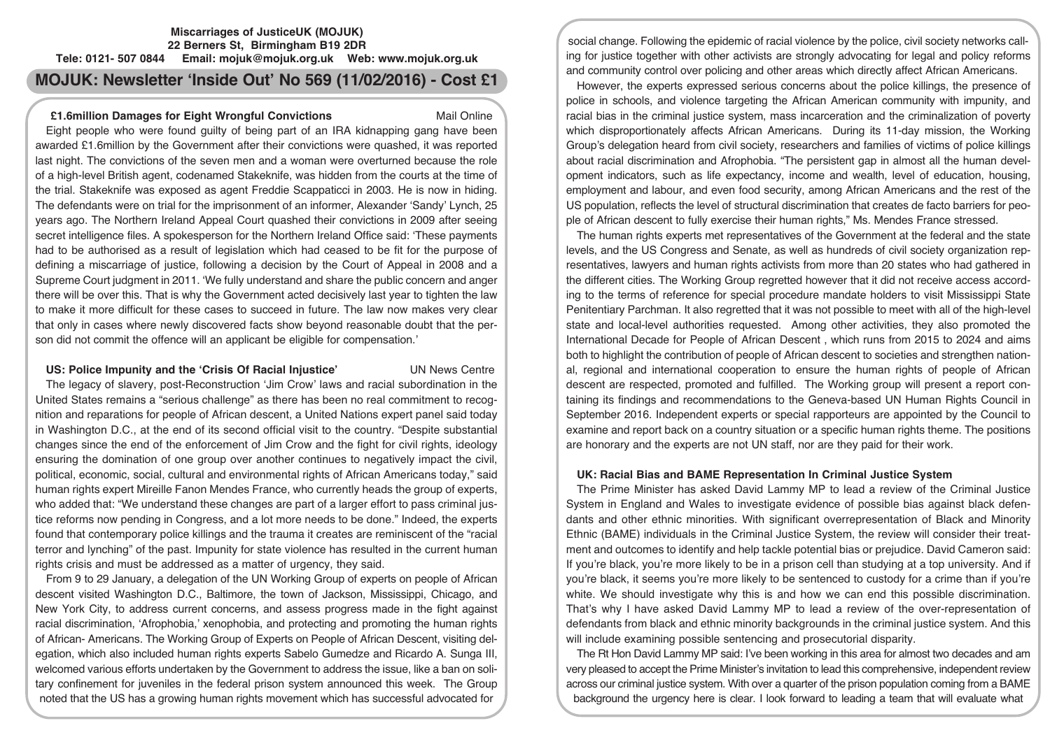### **Miscarriages of JusticeUK (MOJUK) 22 Berners St, Birmingham B19 2DR Tele: 0121- 507 0844 Email: mojuk@mojuk.org.uk Web: www.mojuk.org.uk**

# **MOJUK: Newsletter 'Inside Out' No 569 (11/02/2016) - Cost £1**

# **£1.6million Damages for Eight Wrongful Convictions** Mail Online

Eight people who were found guilty of being part of an IRA kidnapping gang have been awarded £1.6million by the Government after their convictions were quashed, it was reported last night. The convictions of the seven men and a woman were overturned because the role of a high-level British agent, codenamed Stakeknife, was hidden from the courts at the time of the trial. Stakeknife was exposed as agent Freddie Scappaticci in 2003. He is now in hiding. The defendants were on trial for the imprisonment of an informer, Alexander 'Sandy' Lynch, 25 years ago. The Northern Ireland Appeal Court quashed their convictions in 2009 after seeing secret intelligence files. A spokesperson for the Northern Ireland Office said: 'These payments had to be authorised as a result of legislation which had ceased to be fit for the purpose of defining a miscarriage of justice, following a decision by the Court of Appeal in 2008 and a Supreme Court judgment in 2011. 'We fully understand and share the public concern and anger there will be over this. That is why the Government acted decisively last year to tighten the law to make it more difficult for these cases to succeed in future. The law now makes very clear that only in cases where newly discovered facts show beyond reasonable doubt that the person did not commit the offence will an applicant be eligible for compensation.'

#### **US: Police Impunity and the 'Crisis Of Racial Injustice'** UN News Centre

The legacy of slavery, post-Reconstruction 'Jim Crow' laws and racial subordination in the United States remains a "serious challenge" as there has been no real commitment to recognition and reparations for people of African descent, a United Nations expert panel said today in Washington D.C., at the end of its second official visit to the country. "Despite substantial changes since the end of the enforcement of Jim Crow and the fight for civil rights, ideology ensuring the domination of one group over another continues to negatively impact the civil, political, economic, social, cultural and environmental rights of African Americans today," said human rights expert Mireille Fanon Mendes France, who currently heads the group of experts, who added that: "We understand these changes are part of a larger effort to pass criminal justice reforms now pending in Congress, and a lot more needs to be done." Indeed, the experts found that contemporary police killings and the trauma it creates are reminiscent of the "racial terror and lynching" of the past. Impunity for state violence has resulted in the current human rights crisis and must be addressed as a matter of urgency, they said.

From 9 to 29 January, a delegation of the UN Working Group of experts on people of African descent visited Washington D.C., Baltimore, the town of Jackson, Mississippi, Chicago, and New York City, to address current concerns, and assess progress made in the fight against racial discrimination, 'Afrophobia,' xenophobia, and protecting and promoting the human rights of African- Americans. The Working Group of Experts on People of African Descent, visiting delegation, which also included human rights experts Sabelo Gumedze and Ricardo A. Sunga III, welcomed various efforts undertaken by the Government to address the issue, like a ban on solitary confinement for juveniles in the federal prison system announced this week. The Group noted that the US has a growing human rights movement which has successful advocated for

social change. Following the epidemic of racial violence by the police, civil society networks calling for justice together with other activists are strongly advocating for legal and policy reforms and community control over policing and other areas which directly affect African Americans.

However, the experts expressed serious concerns about the police killings, the presence of police in schools, and violence targeting the African American community with impunity, and racial bias in the criminal justice system, mass incarceration and the criminalization of poverty which disproportionately affects African Americans. During its 11-day mission, the Working Group's delegation heard from civil society, researchers and families of victims of police killings about racial discrimination and Afrophobia. "The persistent gap in almost all the human development indicators, such as life expectancy, income and wealth, level of education, housing, employment and labour, and even food security, among African Americans and the rest of the US population, reflects the level of structural discrimination that creates de facto barriers for people of African descent to fully exercise their human rights," Ms. Mendes France stressed.

The human rights experts met representatives of the Government at the federal and the state levels, and the US Congress and Senate, as well as hundreds of civil society organization representatives, lawyers and human rights activists from more than 20 states who had gathered in the different cities. The Working Group regretted however that it did not receive access according to the terms of reference for special procedure mandate holders to visit Mississippi State Penitentiary Parchman. It also regretted that it was not possible to meet with all of the high-level state and local-level authorities requested. Among other activities, they also promoted the International Decade for People of African Descent , which runs from 2015 to 2024 and aims both to highlight the contribution of people of African descent to societies and strengthen national, regional and international cooperation to ensure the human rights of people of African descent are respected, promoted and fulfilled. The Working group will present a report containing its findings and recommendations to the Geneva-based UN Human Rights Council in September 2016. Independent experts or special rapporteurs are appointed by the Council to examine and report back on a country situation or a specific human rights theme. The positions are honorary and the experts are not UN staff, nor are they paid for their work.

# **UK: Racial Bias and BAME Representation In Criminal Justice System**

The Prime Minister has asked David Lammy MP to lead a review of the Criminal Justice System in England and Wales to investigate evidence of possible bias against black defendants and other ethnic minorities. With significant overrepresentation of Black and Minority Ethnic (BAME) individuals in the Criminal Justice System, the review will consider their treatment and outcomes to identify and help tackle potential bias or prejudice. David Cameron said: If you're black, you're more likely to be in a prison cell than studying at a top university. And if you're black, it seems you're more likely to be sentenced to custody for a crime than if you're white. We should investigate why this is and how we can end this possible discrimination. That's why I have asked David Lammy MP to lead a review of the over-representation of defendants from black and ethnic minority backgrounds in the criminal justice system. And this will include examining possible sentencing and prosecutorial disparity.

The Rt Hon David Lammy MP said: I've been working in this area for almost two decades and am very pleased to accept the Prime Minister's invitation to lead this comprehensive, independent review across our criminal justice system. With over a quarter of the prison population coming from a BAME background the urgency here is clear. I look forward to leading a team that will evaluate what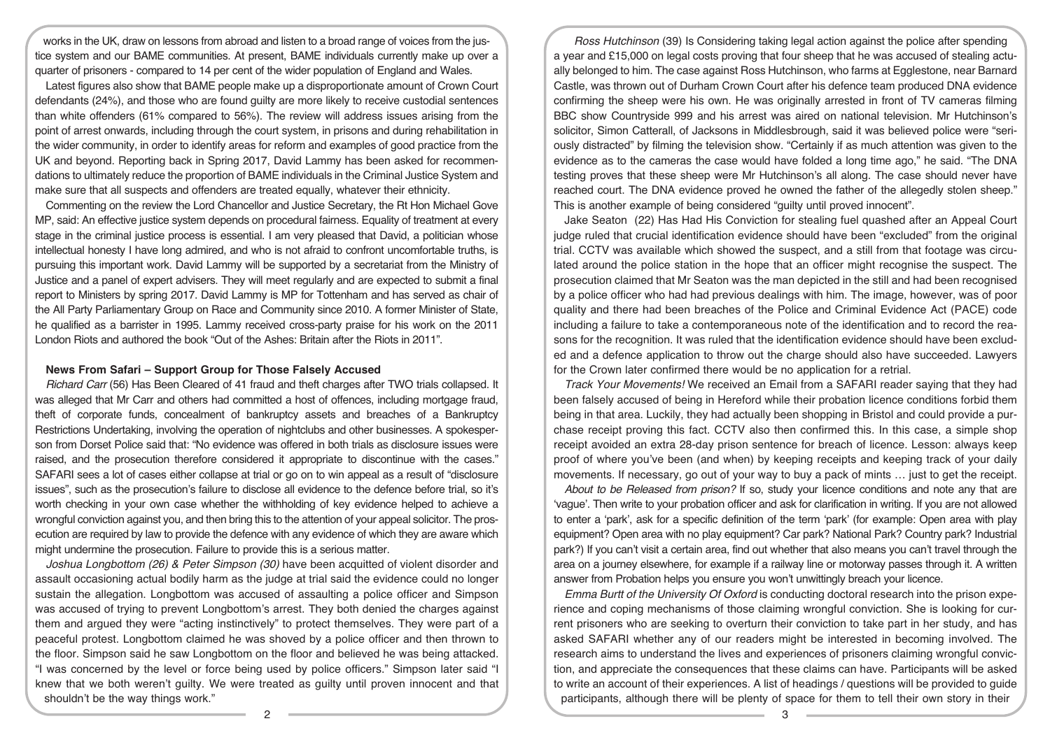works in the UK, draw on lessons from abroad and listen to a broad range of voices from the justice system and our BAME communities. At present, BAME individuals currently make up over a quarter of prisoners - compared to 14 per cent of the wider population of England and Wales.

Latest figures also show that BAME people make up a disproportionate amount of Crown Court defendants (24%), and those who are found guilty are more likely to receive custodial sentences than white offenders (61% compared to 56%). The review will address issues arising from the point of arrest onwards, including through the court system, in prisons and during rehabilitation in the wider community, in order to identify areas for reform and examples of good practice from the UK and beyond. Reporting back in Spring 2017, David Lammy has been asked for recommendations to ultimately reduce the proportion of BAME individuals in the Criminal Justice System and make sure that all suspects and offenders are treated equally, whatever their ethnicity.

Commenting on the review the Lord Chancellor and Justice Secretary, the Rt Hon Michael Gove MP, said: An effective justice system depends on procedural fairness. Equality of treatment at every stage in the criminal justice process is essential. I am very pleased that David, a politician whose intellectual honesty I have long admired, and who is not afraid to confront uncomfortable truths, is pursuing this important work. David Lammy will be supported by a secretariat from the Ministry of Justice and a panel of expert advisers. They will meet regularly and are expected to submit a final report to Ministers by spring 2017. David Lammy is MP for Tottenham and has served as chair of the All Party Parliamentary Group on Race and Community since 2010. A former Minister of State, he qualified as a barrister in 1995. Lammy received cross-party praise for his work on the 2011 London Riots and authored the book "Out of the Ashes: Britain after the Riots in 2011".

### **News From Safari – Support Group for Those Falsely Accused**

*Richard Carr* (56) Has Been Cleared of 41 fraud and theft charges after TWO trials collapsed. It was alleged that Mr Carr and others had committed a host of offences, including mortgage fraud, theft of corporate funds, concealment of bankruptcy assets and breaches of a Bankruptcy Restrictions Undertaking, involving the operation of nightclubs and other businesses. A spokesperson from Dorset Police said that: "No evidence was offered in both trials as disclosure issues were raised, and the prosecution therefore considered it appropriate to discontinue with the cases." SAFARI sees a lot of cases either collapse at trial or go on to win appeal as a result of "disclosure issues", such as the prosecution's failure to disclose all evidence to the defence before trial, so it's worth checking in your own case whether the withholding of key evidence helped to achieve a wrongful conviction against you, and then bring this to the attention of your appeal solicitor. The prosecution are required by law to provide the defence with any evidence of which they are aware which might undermine the prosecution. Failure to provide this is a serious matter.

*Joshua Longbottom (26) & Peter Simpson (30)* have been acquitted of violent disorder and assault occasioning actual bodily harm as the judge at trial said the evidence could no longer sustain the allegation. Longbottom was accused of assaulting a police officer and Simpson was accused of trying to prevent Longbottom's arrest. They both denied the charges against them and argued they were "acting instinctively" to protect themselves. They were part of a peaceful protest. Longbottom claimed he was shoved by a police officer and then thrown to the floor. Simpson said he saw Longbottom on the floor and believed he was being attacked. "I was concerned by the level or force being used by police officers." Simpson later said "I knew that we both weren't guilty. We were treated as guilty until proven innocent and that shouldn't be the way things work."

*Ross Hutchinson* (39) Is Considering taking legal action against the police after spending a year and £15,000 on legal costs proving that four sheep that he was accused of stealing actually belonged to him. The case against Ross Hutchinson, who farms at Egglestone, near Barnard Castle, was thrown out of Durham Crown Court after his defence team produced DNA evidence confirming the sheep were his own. He was originally arrested in front of TV cameras filming BBC show Countryside 999 and his arrest was aired on national television. Mr Hutchinson's solicitor, Simon Catterall, of Jacksons in Middlesbrough, said it was believed police were "seriously distracted" by filming the television show. "Certainly if as much attention was given to the evidence as to the cameras the case would have folded a long time ago," he said. "The DNA testing proves that these sheep were Mr Hutchinson's all along. The case should never have reached court. The DNA evidence proved he owned the father of the allegedly stolen sheep." This is another example of being considered "guilty until proved innocent".

Jake Seaton (22) Has Had His Conviction for stealing fuel quashed after an Appeal Court judge ruled that crucial identification evidence should have been "excluded" from the original trial. CCTV was available which showed the suspect, and a still from that footage was circulated around the police station in the hope that an officer might recognise the suspect. The prosecution claimed that Mr Seaton was the man depicted in the still and had been recognised by a police officer who had had previous dealings with him. The image, however, was of poor quality and there had been breaches of the Police and Criminal Evidence Act (PACE) code including a failure to take a contemporaneous note of the identification and to record the reasons for the recognition. It was ruled that the identification evidence should have been excluded and a defence application to throw out the charge should also have succeeded. Lawyers for the Crown later confirmed there would be no application for a retrial.

*Track Your Movements!* We received an Email from a SAFARI reader saying that they had been falsely accused of being in Hereford while their probation licence conditions forbid them being in that area. Luckily, they had actually been shopping in Bristol and could provide a purchase receipt proving this fact. CCTV also then confirmed this. In this case, a simple shop receipt avoided an extra 28-day prison sentence for breach of licence. Lesson: always keep proof of where you've been (and when) by keeping receipts and keeping track of your daily movements. If necessary, go out of your way to buy a pack of mints … just to get the receipt.

*About to be Released from prison?* If so, study your licence conditions and note any that are 'vague'. Then write to your probation officer and ask for clarification in writing. If you are not allowed to enter a 'park', ask for a specific definition of the term 'park' (for example: Open area with play equipment? Open area with no play equipment? Car park? National Park? Country park? Industrial park?) If you can't visit a certain area, find out whether that also means you can't travel through the area on a journey elsewhere, for example if a railway line or motorway passes through it. A written answer from Probation helps you ensure you won't unwittingly breach your licence.

*Emma Burtt of the University Of Oxford* is conducting doctoral research into the prison experience and coping mechanisms of those claiming wrongful conviction. She is looking for current prisoners who are seeking to overturn their conviction to take part in her study, and has asked SAFARI whether any of our readers might be interested in becoming involved. The research aims to understand the lives and experiences of prisoners claiming wrongful conviction, and appreciate the consequences that these claims can have. Participants will be asked to write an account of their experiences. A list of headings / questions will be provided to guide participants, although there will be plenty of space for them to tell their own story in their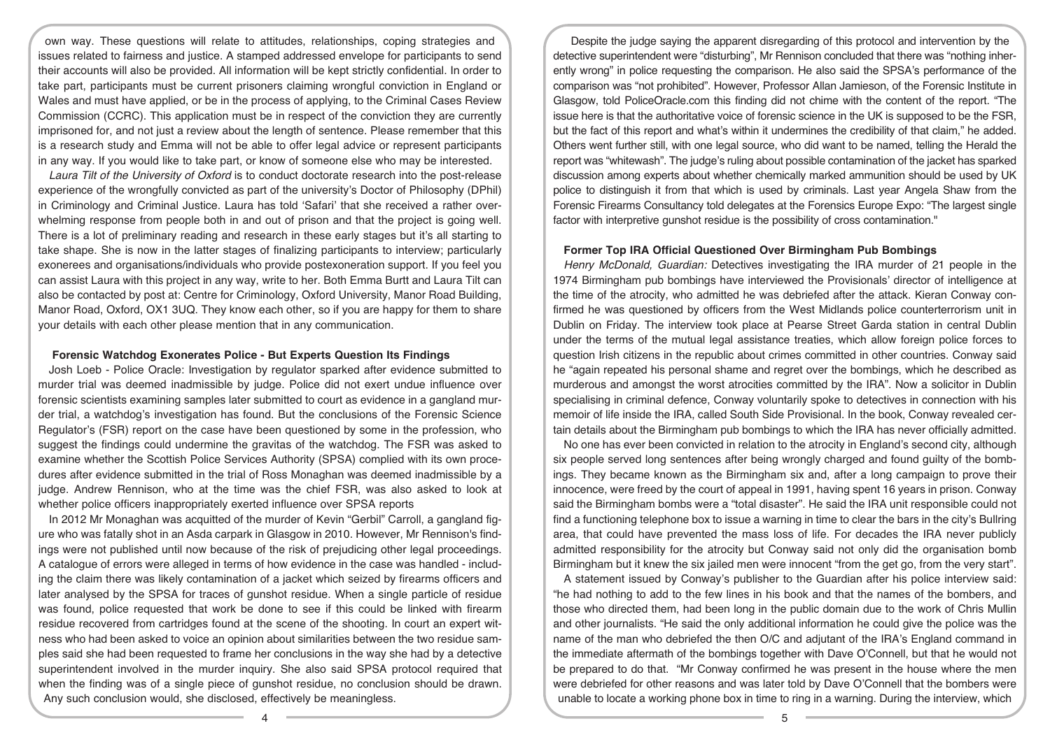own way. These questions will relate to attitudes, relationships, coping strategies and issues related to fairness and justice. A stamped addressed envelope for participants to send their accounts will also be provided. All information will be kept strictly confidential. In order to take part, participants must be current prisoners claiming wrongful conviction in England or Wales and must have applied, or be in the process of applying, to the Criminal Cases Review Commission (CCRC). This application must be in respect of the conviction they are currently imprisoned for, and not just a review about the length of sentence. Please remember that this is a research study and Emma will not be able to offer legal advice or represent participants in any way. If you would like to take part, or know of someone else who may be interested.

*Laura Tilt of the University of Oxford* is to conduct doctorate research into the post-release experience of the wrongfully convicted as part of the university's Doctor of Philosophy (DPhil) in Criminology and Criminal Justice. Laura has told 'Safari' that she received a rather overwhelming response from people both in and out of prison and that the project is going well. There is a lot of preliminary reading and research in these early stages but it's all starting to take shape. She is now in the latter stages of finalizing participants to interview; particularly exonerees and organisations/individuals who provide postexoneration support. If you feel you can assist Laura with this project in any way, write to her. Both Emma Burtt and Laura Tilt can also be contacted by post at: Centre for Criminology, Oxford University, Manor Road Building, Manor Road, Oxford, OX1 3UQ. They know each other, so if you are happy for them to share your details with each other please mention that in any communication.

#### **Forensic Watchdog Exonerates Police - But Experts Question Its Findings**

Josh Loeb - Police Oracle: Investigation by regulator sparked after evidence submitted to murder trial was deemed inadmissible by judge. Police did not exert undue influence over forensic scientists examining samples later submitted to court as evidence in a gangland murder trial, a watchdog's investigation has found. But the conclusions of the Forensic Science Regulator's (FSR) report on the case have been questioned by some in the profession, who suggest the findings could undermine the gravitas of the watchdog. The FSR was asked to examine whether the Scottish Police Services Authority (SPSA) complied with its own procedures after evidence submitted in the trial of Ross Monaghan was deemed inadmissible by a judge. Andrew Rennison, who at the time was the chief FSR, was also asked to look at whether police officers inappropriately exerted influence over SPSA reports

In 2012 Mr Monaghan was acquitted of the murder of Kevin "Gerbil" Carroll, a gangland figure who was fatally shot in an Asda carpark in Glasgow in 2010. However, Mr Rennison's findings were not published until now because of the risk of prejudicing other legal proceedings. A catalogue of errors were alleged in terms of how evidence in the case was handled - including the claim there was likely contamination of a jacket which seized by firearms officers and later analysed by the SPSA for traces of gunshot residue. When a single particle of residue was found, police requested that work be done to see if this could be linked with firearm residue recovered from cartridges found at the scene of the shooting. In court an expert witness who had been asked to voice an opinion about similarities between the two residue samples said she had been requested to frame her conclusions in the way she had by a detective superintendent involved in the murder inquiry. She also said SPSA protocol required that when the finding was of a single piece of gunshot residue, no conclusion should be drawn. Any such conclusion would, she disclosed, effectively be meaningless.

Despite the judge saying the apparent disregarding of this protocol and intervention by the detective superintendent were "disturbing", Mr Rennison concluded that there was "nothing inherently wrong" in police requesting the comparison. He also said the SPSA's performance of the comparison was "not prohibited". However, Professor Allan Jamieson, of the Forensic Institute in Glasgow, told PoliceOracle.com this finding did not chime with the content of the report. "The issue here is that the authoritative voice of forensic science in the UK is supposed to be the FSR, but the fact of this report and what's within it undermines the credibility of that claim," he added. Others went further still, with one legal source, who did want to be named, telling the Herald the report was "whitewash". The judge's ruling about possible contamination of the jacket has sparked discussion among experts about whether chemically marked ammunition should be used by UK police to distinguish it from that which is used by criminals. Last year Angela Shaw from the Forensic Firearms Consultancy told delegates at the Forensics Europe Expo: "The largest single factor with interpretive gunshot residue is the possibility of cross contamination."

#### **Former Top IRA Official Questioned Over Birmingham Pub Bombings**

*Henry McDonald, Guardian:* Detectives investigating the IRA murder of 21 people in the 1974 Birmingham pub bombings have interviewed the Provisionals' director of intelligence at the time of the atrocity, who admitted he was debriefed after the attack. Kieran Conway confirmed he was questioned by officers from the West Midlands police counterterrorism unit in Dublin on Friday. The interview took place at Pearse Street Garda station in central Dublin under the terms of the mutual legal assistance treaties, which allow foreign police forces to question Irish citizens in the republic about crimes committed in other countries. Conway said he "again repeated his personal shame and regret over the bombings, which he described as murderous and amongst the worst atrocities committed by the IRA". Now a solicitor in Dublin specialising in criminal defence, Conway voluntarily spoke to detectives in connection with his memoir of life inside the IRA, called South Side Provisional. In the book, Conway revealed certain details about the Birmingham pub bombings to which the IRA has never officially admitted.

No one has ever been convicted in relation to the atrocity in England's second city, although six people served long sentences after being wrongly charged and found guilty of the bombings. They became known as the Birmingham six and, after a long campaign to prove their innocence, were freed by the court of appeal in 1991, having spent 16 years in prison. Conway said the Birmingham bombs were a "total disaster". He said the IRA unit responsible could not find a functioning telephone box to issue a warning in time to clear the bars in the city's Bullring area, that could have prevented the mass loss of life. For decades the IRA never publicly admitted responsibility for the atrocity but Conway said not only did the organisation bomb Birmingham but it knew the six jailed men were innocent "from the get go, from the very start".

A statement issued by Conway's publisher to the Guardian after his police interview said: "he had nothing to add to the few lines in his book and that the names of the bombers, and those who directed them, had been long in the public domain due to the work of Chris Mullin and other journalists. "He said the only additional information he could give the police was the name of the man who debriefed the then O/C and adjutant of the IRA's England command in the immediate aftermath of the bombings together with Dave O'Connell, but that he would not be prepared to do that. "Mr Conway confirmed he was present in the house where the men were debriefed for other reasons and was later told by Dave O'Connell that the bombers were unable to locate a working phone box in time to ring in a warning. During the interview, which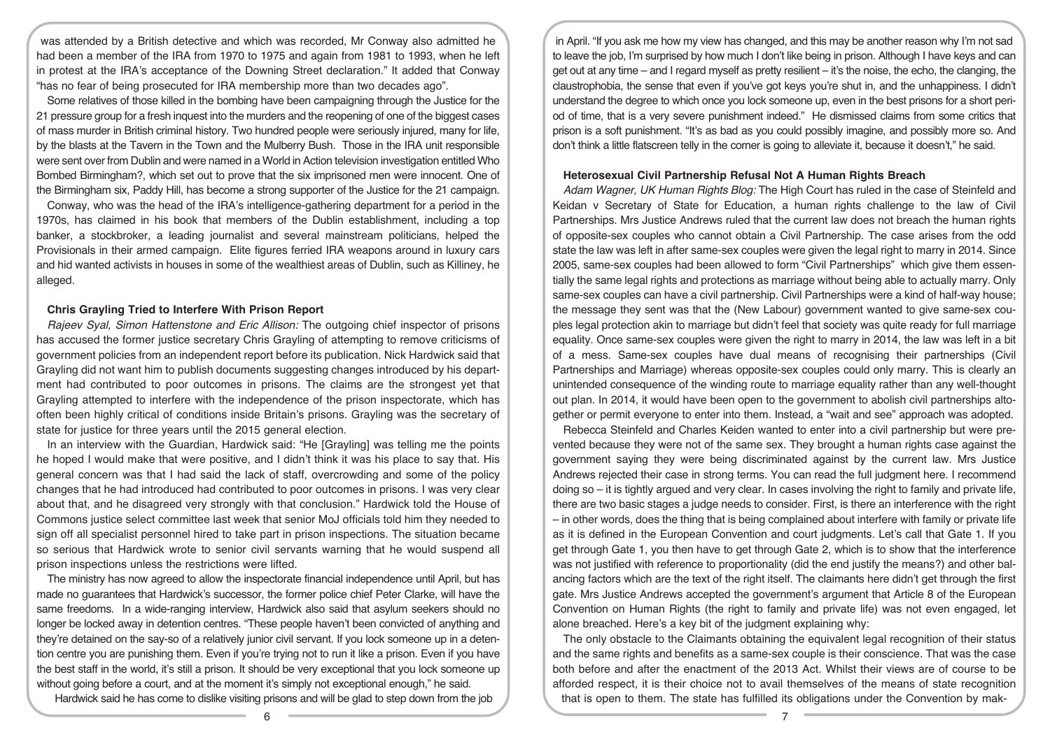was attended by a British detective and which was recorded, Mr Conway also admitted he had been a member of the IRA from 1970 to 1975 and again from 1981 to 1993, when he left in protest at the IRA's acceptance of the Downing Street declaration." It added that Conway "has no fear of being prosecuted for IRA membership more than two decades ago".

Some relatives of those killed in the bombing have been campaigning through the Justice for the 21 pressure group for a fresh inquest into the murders and the reopening of one of the biggest cases of mass murder in British criminal history. Two hundred people were seriously injured, many for life, by the blasts at the Tavern in the Town and the Mulberry Bush. Those in the IRA unit responsible were sent over from Dublin and were named in a World in Action television investigation entitled Who Bombed Birmingham?, which set out to prove that the six imprisoned men were innocent. One of the Birmingham six, Paddy Hill, has become a strong supporter of the Justice for the 21 campaign.

Conway, who was the head of the IRA's intelligence-gathering department for a period in the 1970s, has claimed in his book that members of the Dublin establishment, including a top banker, a stockbroker, a leading journalist and several mainstream politicians, helped the Provisionals in their armed campaign. Elite figures ferried IRA weapons around in luxury cars and hid wanted activists in houses in some of the wealthiest areas of Dublin, such as Killiney, he alleged.

## **Chris Grayling Tried to Interfere With Prison Report**

*Rajeev Syal, Simon Hattenstone and Eric Allison:* The outgoing chief inspector of prisons has accused the former justice secretary Chris Grayling of attempting to remove criticisms of government policies from an independent report before its publication. Nick Hardwick said that Grayling did not want him to publish documents suggesting changes introduced by his department had contributed to poor outcomes in prisons. The claims are the strongest yet that Grayling attempted to interfere with the independence of the prison inspectorate, which has often been highly critical of conditions inside Britain's prisons. Grayling was the secretary of state for justice for three years until the 2015 general election.

In an interview with the Guardian, Hardwick said: "He [Grayling] was telling me the points he hoped I would make that were positive, and I didn't think it was his place to say that. His general concern was that I had said the lack of staff, overcrowding and some of the policy changes that he had introduced had contributed to poor outcomes in prisons. I was very clear about that, and he disagreed very strongly with that conclusion." Hardwick told the House of Commons justice select committee last week that senior MoJ officials told him they needed to sign off all specialist personnel hired to take part in prison inspections. The situation became so serious that Hardwick wrote to senior civil servants warning that he would suspend all prison inspections unless the restrictions were lifted.

The ministry has now agreed to allow the inspectorate financial independence until April, but has made no guarantees that Hardwick's successor, the former police chief Peter Clarke, will have the same freedoms. In a wide-ranging interview, Hardwick also said that asylum seekers should no longer be locked away in detention centres. "These people haven't been convicted of anything and they're detained on the say-so of a relatively junior civil servant. If you lock someone up in a detention centre you are punishing them. Even if you're trying not to run it like a prison. Even if you have the best staff in the world, it's still a prison. It should be very exceptional that you lock someone up without going before a court, and at the moment it's simply not exceptional enough," he said.

Hardwick said he has come to dislike visiting prisons and will be glad to step down from the job

in April. "If you ask me how my view has changed, and this may be another reason why I'm not sad to leave the job, I'm surprised by how much I don't like being in prison. Although I have keys and can get out at any time – and I regard myself as pretty resilient – it's the noise, the echo, the clanging, the claustrophobia, the sense that even if you've got keys you're shut in, and the unhappiness. I didn't understand the degree to which once you lock someone up, even in the best prisons for a short period of time, that is a very severe punishment indeed." He dismissed claims from some critics that prison is a soft punishment. "It's as bad as you could possibly imagine, and possibly more so. And don't think a little flatscreen telly in the corner is going to alleviate it, because it doesn't," he said.

### **Heterosexual Civil Partnership Refusal Not A Human Rights Breach**

*Adam Wagner, UK Human Rights Blog:* The High Court has ruled in the case of Steinfeld and Keidan v Secretary of State for Education, a human rights challenge to the law of Civil Partnerships. Mrs Justice Andrews ruled that the current law does not breach the human rights of opposite-sex couples who cannot obtain a Civil Partnership. The case arises from the odd state the law was left in after same-sex couples were given the legal right to marry in 2014. Since 2005, same-sex couples had been allowed to form "Civil Partnerships" which give them essentially the same legal rights and protections as marriage without being able to actually marry. Only same-sex couples can have a civil partnership. Civil Partnerships were a kind of half-way house; the message they sent was that the (New Labour) government wanted to give same-sex couples legal protection akin to marriage but didn't feel that society was quite ready for full marriage equality. Once same-sex couples were given the right to marry in 2014, the law was left in a bit of a mess. Same-sex couples have dual means of recognising their partnerships (Civil Partnerships and Marriage) whereas opposite-sex couples could only marry. This is clearly an unintended consequence of the winding route to marriage equality rather than any well-thought out plan. In 2014, it would have been open to the government to abolish civil partnerships altogether or permit everyone to enter into them. Instead, a "wait and see" approach was adopted.

Rebecca Steinfeld and Charles Keiden wanted to enter into a civil partnership but were prevented because they were not of the same sex. They brought a human rights case against the government saying they were being discriminated against by the current law. Mrs Justice Andrews rejected their case in strong terms. You can read the full judgment here. I recommend doing so – it is tightly argued and very clear. In cases involving the right to family and private life, there are two basic stages a judge needs to consider. First, is there an interference with the right – in other words, does the thing that is being complained about interfere with family or private life as it is defined in the European Convention and court judgments. Let's call that Gate 1. If you get through Gate 1, you then have to get through Gate 2, which is to show that the interference was not justified with reference to proportionality (did the end justify the means?) and other balancing factors which are the text of the right itself. The claimants here didn't get through the first gate. Mrs Justice Andrews accepted the government's argument that Article 8 of the European Convention on Human Rights (the right to family and private life) was not even engaged, let alone breached. Here's a key bit of the judgment explaining why:

The only obstacle to the Claimants obtaining the equivalent legal recognition of their status and the same rights and benefits as a same-sex couple is their conscience. That was the case both before and after the enactment of the 2013 Act. Whilst their views are of course to be afforded respect, it is their choice not to avail themselves of the means of state recognition that is open to them. The state has fulfilled its obligations under the Convention by mak-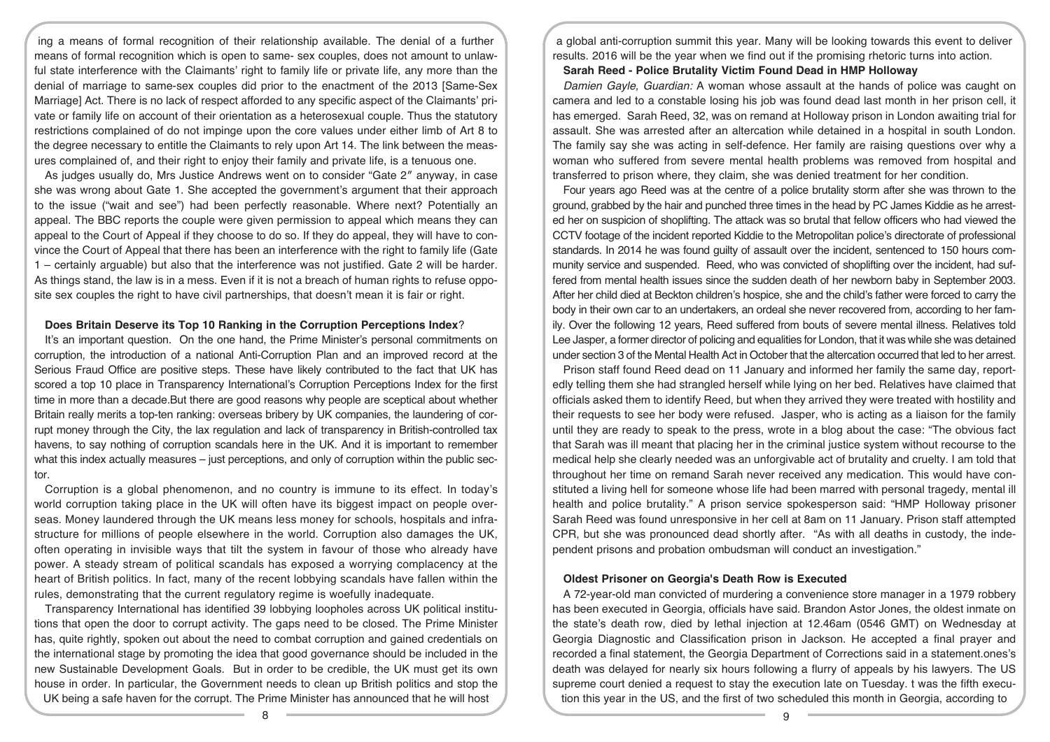ing a means of formal recognition of their relationship available. The denial of a further means of formal recognition which is open to same- sex couples, does not amount to unlawful state interference with the Claimants' right to family life or private life, any more than the denial of marriage to same-sex couples did prior to the enactment of the 2013 [Same-Sex Marriage] Act. There is no lack of respect afforded to any specific aspect of the Claimants' private or family life on account of their orientation as a heterosexual couple. Thus the statutory restrictions complained of do not impinge upon the core values under either limb of Art 8 to the degree necessary to entitle the Claimants to rely upon Art 14. The link between the measures complained of, and their right to enjoy their family and private life, is a tenuous one.

As judges usually do, Mrs Justice Andrews went on to consider "Gate 2″ anyway, in case she was wrong about Gate 1. She accepted the government's argument that their approach to the issue ("wait and see") had been perfectly reasonable. Where next? Potentially an appeal. The BBC reports the couple were given permission to appeal which means they can appeal to the Court of Appeal if they choose to do so. If they do appeal, they will have to convince the Court of Appeal that there has been an interference with the right to family life (Gate 1 – certainly arguable) but also that the interference was not justified. Gate 2 will be harder. As things stand, the law is in a mess. Even if it is not a breach of human rights to refuse opposite sex couples the right to have civil partnerships, that doesn't mean it is fair or right.

#### **Does Britain Deserve its Top 10 Ranking in the Corruption Perceptions Index**?

It's an important question. On the one hand, the Prime Minister's personal commitments on corruption, the introduction of a national Anti-Corruption Plan and an improved record at the Serious Fraud Office are positive steps. These have likely contributed to the fact that UK has scored a top 10 place in Transparency International's Corruption Perceptions Index for the first time in more than a decade.But there are good reasons why people are sceptical about whether Britain really merits a top-ten ranking: overseas bribery by UK companies, the laundering of corrupt money through the City, the lax regulation and lack of transparency in British-controlled tax havens, to say nothing of corruption scandals here in the UK. And it is important to remember what this index actually measures – just perceptions, and only of corruption within the public sector.

Corruption is a global phenomenon, and no country is immune to its effect. In today's world corruption taking place in the UK will often have its biggest impact on people overseas. Money laundered through the UK means less money for schools, hospitals and infrastructure for millions of people elsewhere in the world. Corruption also damages the UK, often operating in invisible ways that tilt the system in favour of those who already have power. A steady stream of political scandals has exposed a worrying complacency at the heart of British politics. In fact, many of the recent lobbying scandals have fallen within the rules, demonstrating that the current regulatory regime is woefully inadequate.

Transparency International has identified 39 lobbying loopholes across UK political institutions that open the door to corrupt activity. The gaps need to be closed. The Prime Minister has, quite rightly, spoken out about the need to combat corruption and gained credentials on the international stage by promoting the idea that good governance should be included in the new Sustainable Development Goals. But in order to be credible, the UK must get its own house in order. In particular, the Government needs to clean up British politics and stop the UK being a safe haven for the corrupt. The Prime Minister has announced that he will host

a global anti-corruption summit this year. Many will be looking towards this event to deliver results. 2016 will be the year when we find out if the promising rhetoric turns into action.

## **Sarah Reed - Police Brutality Victim Found Dead in HMP Holloway**

*Damien Gayle, Guardian:* A woman whose assault at the hands of police was caught on camera and led to a constable losing his job was found dead last month in her prison cell, it has emerged. Sarah Reed, 32, was on remand at Holloway prison in London awaiting trial for assault. She was arrested after an altercation while detained in a hospital in south London. The family say she was acting in self-defence. Her family are raising questions over why a woman who suffered from severe mental health problems was removed from hospital and transferred to prison where, they claim, she was denied treatment for her condition.

Four years ago Reed was at the centre of a police brutality storm after she was thrown to the ground, grabbed by the hair and punched three times in the head by PC James Kiddie as he arrested her on suspicion of shoplifting. The attack was so brutal that fellow officers who had viewed the CCTV footage of the incident reported Kiddie to the Metropolitan police's directorate of professional standards. In 2014 he was found guilty of assault over the incident, sentenced to 150 hours community service and suspended. Reed, who was convicted of shoplifting over the incident, had suffered from mental health issues since the sudden death of her newborn baby in September 2003. After her child died at Beckton children's hospice, she and the child's father were forced to carry the body in their own car to an undertakers, an ordeal she never recovered from, according to her family. Over the following 12 years, Reed suffered from bouts of severe mental illness. Relatives told Lee Jasper, a former director of policing and equalities for London, that it was while she was detained under section 3 of the Mental Health Act in October that the altercation occurred that led to her arrest.

Prison staff found Reed dead on 11 January and informed her family the same day, reportedly telling them she had strangled herself while lying on her bed. Relatives have claimed that officials asked them to identify Reed, but when they arrived they were treated with hostility and their requests to see her body were refused. Jasper, who is acting as a liaison for the family until they are ready to speak to the press, wrote in a blog about the case: "The obvious fact that Sarah was ill meant that placing her in the criminal justice system without recourse to the medical help she clearly needed was an unforgivable act of brutality and cruelty. I am told that throughout her time on remand Sarah never received any medication. This would have constituted a living hell for someone whose life had been marred with personal tragedy, mental ill health and police brutality." A prison service spokesperson said: "HMP Holloway prisoner Sarah Reed was found unresponsive in her cell at 8am on 11 January. Prison staff attempted CPR, but she was pronounced dead shortly after. "As with all deaths in custody, the independent prisons and probation ombudsman will conduct an investigation."

### **Oldest Prisoner on Georgia's Death Row is Executed**

A 72-year-old man convicted of murdering a convenience store manager in a 1979 robbery has been executed in Georgia, officials have said. Brandon Astor Jones, the oldest inmate on the state's death row, died by lethal injection at 12.46am (0546 GMT) on Wednesday at Georgia Diagnostic and Classification prison in Jackson. He accepted a final prayer and recorded a final statement, the Georgia Department of Corrections said in a statement.ones's death was delayed for nearly six hours following a flurry of appeals by his lawyers. The US supreme court denied a request to stay the execution late on Tuesday. t was the fifth execution this year in the US, and the first of two scheduled this month in Georgia, according to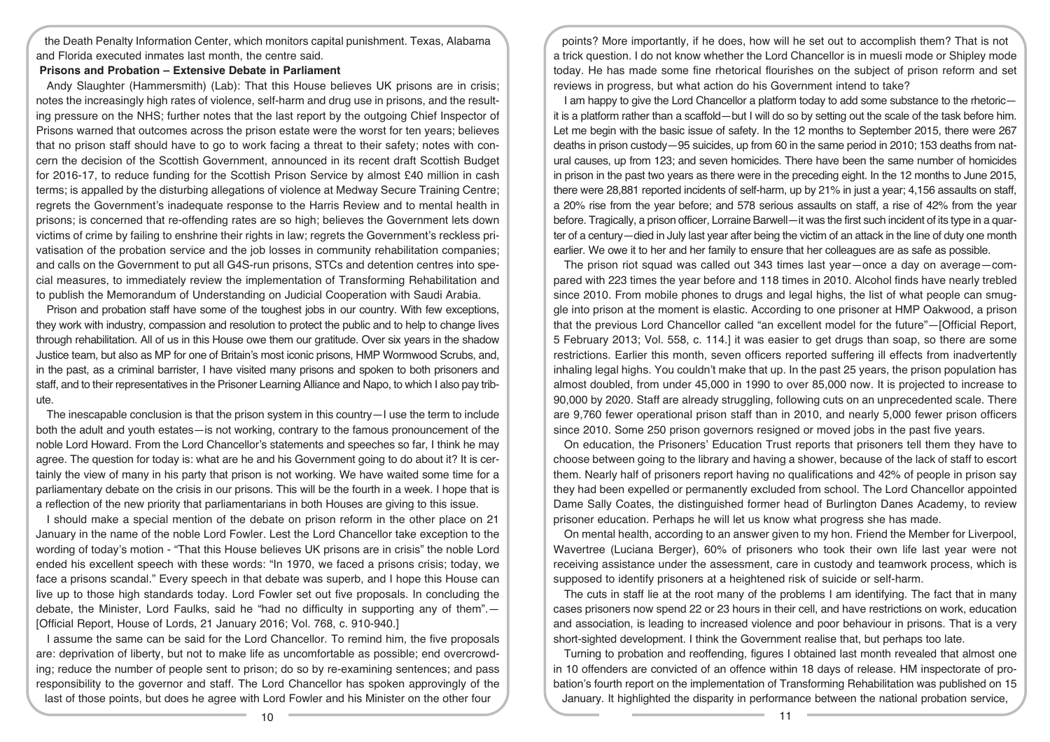the Death Penalty Information Center, which monitors capital punishment. Texas, Alabama and Florida executed inmates last month, the centre said.

# **Prisons and Probation – Extensive Debate in Parliament**

Andy Slaughter (Hammersmith) (Lab): That this House believes UK prisons are in crisis; notes the increasingly high rates of violence, self-harm and drug use in prisons, and the resulting pressure on the NHS; further notes that the last report by the outgoing Chief Inspector of Prisons warned that outcomes across the prison estate were the worst for ten years; believes that no prison staff should have to go to work facing a threat to their safety; notes with concern the decision of the Scottish Government, announced in its recent draft Scottish Budget for 2016-17, to reduce funding for the Scottish Prison Service by almost £40 million in cash terms; is appalled by the disturbing allegations of violence at Medway Secure Training Centre; regrets the Government's inadequate response to the Harris Review and to mental health in prisons; is concerned that re-offending rates are so high; believes the Government lets down victims of crime by failing to enshrine their rights in law; regrets the Government's reckless privatisation of the probation service and the job losses in community rehabilitation companies; and calls on the Government to put all G4S-run prisons, STCs and detention centres into special measures, to immediately review the implementation of Transforming Rehabilitation and to publish the Memorandum of Understanding on Judicial Cooperation with Saudi Arabia.

Prison and probation staff have some of the toughest jobs in our country. With few exceptions, they work with industry, compassion and resolution to protect the public and to help to change lives through rehabilitation. All of us in this House owe them our gratitude. Over six years in the shadow Justice team, but also as MP for one of Britain's most iconic prisons, HMP Wormwood Scrubs, and, in the past, as a criminal barrister, I have visited many prisons and spoken to both prisoners and staff, and to their representatives in the Prisoner Learning Alliance and Napo, to which I also pay tribute.

The inescapable conclusion is that the prison system in this country—I use the term to include both the adult and youth estates—is not working, contrary to the famous pronouncement of the noble Lord Howard. From the Lord Chancellor's statements and speeches so far, I think he may agree. The question for today is: what are he and his Government going to do about it? It is certainly the view of many in his party that prison is not working. We have waited some time for a parliamentary debate on the crisis in our prisons. This will be the fourth in a week. I hope that is a reflection of the new priority that parliamentarians in both Houses are giving to this issue.

I should make a special mention of the debate on prison reform in the other place on 21 January in the name of the noble Lord Fowler. Lest the Lord Chancellor take exception to the wording of today's motion - "That this House believes UK prisons are in crisis" the noble Lord ended his excellent speech with these words: "In 1970, we faced a prisons crisis; today, we face a prisons scandal." Every speech in that debate was superb, and I hope this House can live up to those high standards today. Lord Fowler set out five proposals. In concluding the debate, the Minister, Lord Faulks, said he "had no difficulty in supporting any of them".— [Official Report, House of Lords, 21 January 2016; Vol. 768, c. 910-940.]

I assume the same can be said for the Lord Chancellor. To remind him, the five proposals are: deprivation of liberty, but not to make life as uncomfortable as possible; end overcrowding; reduce the number of people sent to prison; do so by re-examining sentences; and pass responsibility to the governor and staff. The Lord Chancellor has spoken approvingly of the last of those points, but does he agree with Lord Fowler and his Minister on the other four

points? More importantly, if he does, how will he set out to accomplish them? That is not a trick question. I do not know whether the Lord Chancellor is in muesli mode or Shipley mode today. He has made some fine rhetorical flourishes on the subject of prison reform and set reviews in progress, but what action do his Government intend to take?

I am happy to give the Lord Chancellor a platform today to add some substance to the rhetoric it is a platform rather than a scaffold—but I will do so by setting out the scale of the task before him. Let me begin with the basic issue of safety. In the 12 months to September 2015, there were 267 deaths in prison custody—95 suicides, up from 60 in the same period in 2010; 153 deaths from natural causes, up from 123; and seven homicides. There have been the same number of homicides in prison in the past two years as there were in the preceding eight. In the 12 months to June 2015, there were 28,881 reported incidents of self-harm, up by 21% in just a year; 4,156 assaults on staff, a 20% rise from the year before; and 578 serious assaults on staff, a rise of 42% from the year before. Tragically, a prison officer, Lorraine Barwell—it was the first such incident of its type in a quarter of a century—died in July last year after being the victim of an attack in the line of duty one month earlier. We owe it to her and her family to ensure that her colleagues are as safe as possible.

The prison riot squad was called out 343 times last year—once a day on average—compared with 223 times the year before and 118 times in 2010. Alcohol finds have nearly trebled since 2010. From mobile phones to drugs and legal highs, the list of what people can smuggle into prison at the moment is elastic. According to one prisoner at HMP Oakwood, a prison that the previous Lord Chancellor called "an excellent model for the future"—[Official Report, 5 February 2013; Vol. 558, c. 114.] it was easier to get drugs than soap, so there are some restrictions. Earlier this month, seven officers reported suffering ill effects from inadvertently inhaling legal highs. You couldn't make that up. In the past 25 years, the prison population has almost doubled, from under 45,000 in 1990 to over 85,000 now. It is projected to increase to 90,000 by 2020. Staff are already struggling, following cuts on an unprecedented scale. There are 9,760 fewer operational prison staff than in 2010, and nearly 5,000 fewer prison officers since 2010. Some 250 prison governors resigned or moved jobs in the past five years.

On education, the Prisoners' Education Trust reports that prisoners tell them they have to choose between going to the library and having a shower, because of the lack of staff to escort them. Nearly half of prisoners report having no qualifications and 42% of people in prison say they had been expelled or permanently excluded from school. The Lord Chancellor appointed Dame Sally Coates, the distinguished former head of Burlington Danes Academy, to review prisoner education. Perhaps he will let us know what progress she has made.

On mental health, according to an answer given to my hon. Friend the Member for Liverpool, Wavertree (Luciana Berger), 60% of prisoners who took their own life last year were not receiving assistance under the assessment, care in custody and teamwork process, which is supposed to identify prisoners at a heightened risk of suicide or self-harm.

The cuts in staff lie at the root many of the problems I am identifying. The fact that in many cases prisoners now spend 22 or 23 hours in their cell, and have restrictions on work, education and association, is leading to increased violence and poor behaviour in prisons. That is a very short-sighted development. I think the Government realise that, but perhaps too late.

Turning to probation and reoffending, figures I obtained last month revealed that almost one in 10 offenders are convicted of an offence within 18 days of release. HM inspectorate of probation's fourth report on the implementation of Transforming Rehabilitation was published on 15 January. It highlighted the disparity in performance between the national probation service.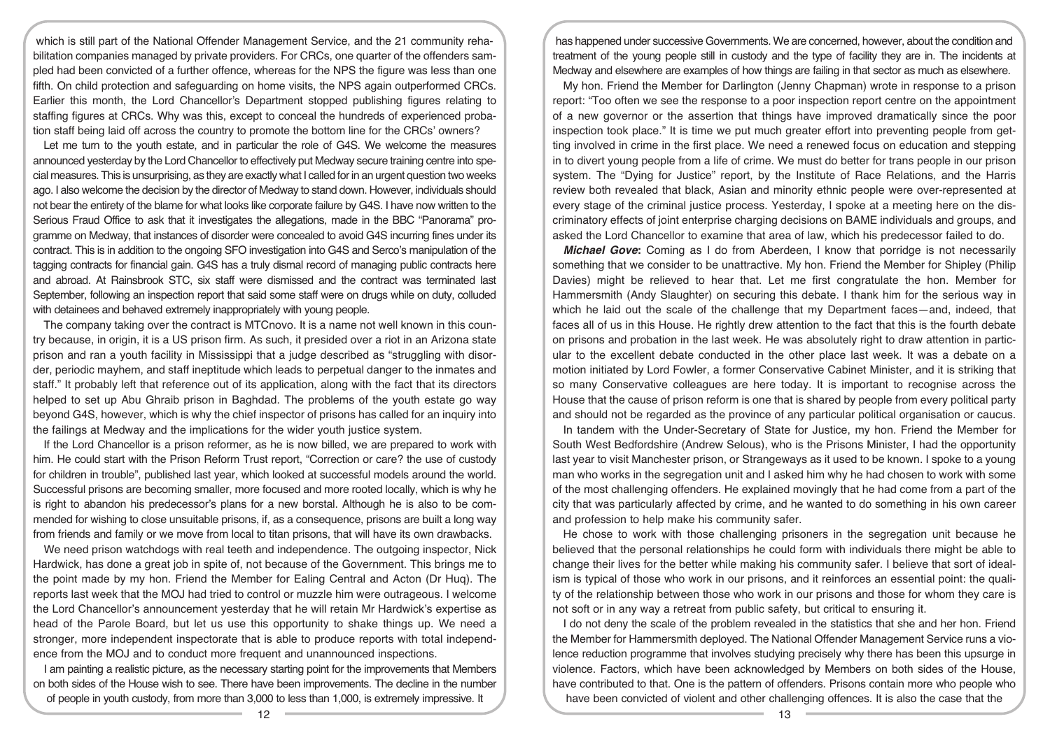which is still part of the National Offender Management Service, and the 21 community rehabilitation companies managed by private providers. For CRCs, one quarter of the offenders sampled had been convicted of a further offence, whereas for the NPS the figure was less than one fifth. On child protection and safeguarding on home visits, the NPS again outperformed CRCs. Earlier this month, the Lord Chancellor's Department stopped publishing figures relating to staffing figures at CRCs. Why was this, except to conceal the hundreds of experienced probation staff being laid off across the country to promote the bottom line for the CRCs' owners?

Let me turn to the youth estate, and in particular the role of G4S. We welcome the measures announced yesterday by the Lord Chancellor to effectively put Medway secure training centre into special measures. This is unsurprising, as they are exactly what I called forin an urgent question two weeks ago. I also welcome the decision by the director of Medway to stand down. However, individuals should not bear the entirety of the blame for what looks like corporate failure by G4S. I have now written to the Serious Fraud Office to ask that it investigates the allegations, made in the BBC "Panorama" programme on Medway, that instances of disorder were concealed to avoid G4S incurring fines under its contract. This is in addition to the ongoing SFO investigation into G4S and Serco's manipulation of the tagging contracts for financial gain. G4S has a truly dismal record of managing public contracts here and abroad. At Rainsbrook STC, six staff were dismissed and the contract was terminated last September, following an inspection report that said some staff were on drugs while on duty, colluded with detainees and behaved extremely inappropriately with young people.

The company taking over the contract is MTCnovo. It is a name not well known in this country because, in origin, it is a US prison firm. As such, it presided over a riot in an Arizona state prison and ran a youth facility in Mississippi that a judge described as "struggling with disorder, periodic mayhem, and staff ineptitude which leads to perpetual danger to the inmates and staff." It probably left that reference out of its application, along with the fact that its directors helped to set up Abu Ghraib prison in Baghdad. The problems of the youth estate go way beyond G4S, however, which is why the chief inspector of prisons has called for an inquiry into the failings at Medway and the implications for the wider youth justice system.

If the Lord Chancellor is a prison reformer, as he is now billed, we are prepared to work with him. He could start with the Prison Reform Trust report, "Correction or care? the use of custody for children in trouble", published last year, which looked at successful models around the world. Successful prisons are becoming smaller, more focused and more rooted locally, which is why he is right to abandon his predecessor's plans for a new borstal. Although he is also to be commended for wishing to close unsuitable prisons, if, as a consequence, prisons are built a long way from friends and family or we move from local to titan prisons, that will have its own drawbacks.

We need prison watchdogs with real teeth and independence. The outgoing inspector, Nick Hardwick, has done a great job in spite of, not because of the Government. This brings me to the point made by my hon. Friend the Member for Ealing Central and Acton (Dr Huq). The reports last week that the MOJ had tried to control or muzzle him were outrageous. I welcome the Lord Chancellor's announcement yesterday that he will retain Mr Hardwick's expertise as head of the Parole Board, but let us use this opportunity to shake things up. We need a stronger, more independent inspectorate that is able to produce reports with total independence from the MOJ and to conduct more frequent and unannounced inspections.

I am painting a realistic picture, as the necessary starting point for the improvements that Members on both sides of the House wish to see. There have been improvements. The decline in the number of people in youth custody, from more than 3,000 to less than 1,000, is extremely impressive. It

has happened under successive Governments. We are concerned, however, about the condition and treatment of the young people still in custody and the type of facility they are in. The incidents at Medway and elsewhere are examples of how things are failing in that sector as much as elsewhere.

My hon. Friend the Member for Darlington (Jenny Chapman) wrote in response to a prison report: "Too often we see the response to a poor inspection report centre on the appointment of a new governor or the assertion that things have improved dramatically since the poor inspection took place." It is time we put much greater effort into preventing people from getting involved in crime in the first place. We need a renewed focus on education and stepping in to divert young people from a life of crime. We must do better for trans people in our prison system. The "Dying for Justice" report, by the Institute of Race Relations, and the Harris review both revealed that black, Asian and minority ethnic people were over-represented at every stage of the criminal justice process. Yesterday, I spoke at a meeting here on the discriminatory effects of joint enterprise charging decisions on BAME individuals and groups, and asked the Lord Chancellor to examine that area of law, which his predecessor failed to do.

*Michael Gove***:** Coming as I do from Aberdeen, I know that porridge is not necessarily something that we consider to be unattractive. My hon. Friend the Member for Shipley (Philip Davies) might be relieved to hear that. Let me first congratulate the hon. Member for Hammersmith (Andy Slaughter) on securing this debate. I thank him for the serious way in which he laid out the scale of the challenge that my Department faces—and, indeed, that faces all of us in this House. He rightly drew attention to the fact that this is the fourth debate on prisons and probation in the last week. He was absolutely right to draw attention in particular to the excellent debate conducted in the other place last week. It was a debate on a motion initiated by Lord Fowler, a former Conservative Cabinet Minister, and it is striking that so many Conservative colleagues are here today. It is important to recognise across the House that the cause of prison reform is one that is shared by people from every political party and should not be regarded as the province of any particular political organisation or caucus.

In tandem with the Under-Secretary of State for Justice, my hon. Friend the Member for South West Bedfordshire (Andrew Selous), who is the Prisons Minister, I had the opportunity last year to visit Manchester prison, or Strangeways as it used to be known. I spoke to a young man who works in the segregation unit and I asked him why he had chosen to work with some of the most challenging offenders. He explained movingly that he had come from a part of the city that was particularly affected by crime, and he wanted to do something in his own career and profession to help make his community safer.

He chose to work with those challenging prisoners in the segregation unit because he believed that the personal relationships he could form with individuals there might be able to change their lives for the better while making his community safer. I believe that sort of idealism is typical of those who work in our prisons, and it reinforces an essential point: the quality of the relationship between those who work in our prisons and those for whom they care is not soft or in any way a retreat from public safety, but critical to ensuring it.

I do not deny the scale of the problem revealed in the statistics that she and her hon. Friend the Member for Hammersmith deployed. The National Offender Management Service runs a violence reduction programme that involves studying precisely why there has been this upsurge in violence. Factors, which have been acknowledged by Members on both sides of the House, have contributed to that. One is the pattern of offenders. Prisons contain more who people who have been convicted of violent and other challenging offences. It is also the case that the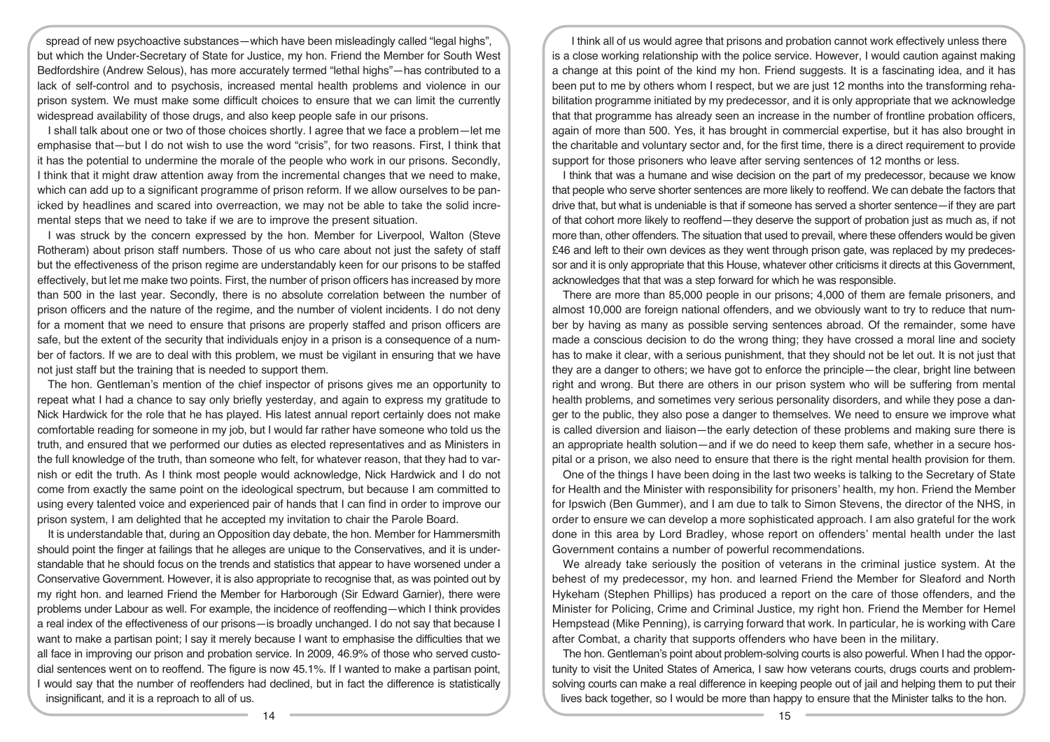spread of new psychoactive substances—which have been misleadingly called "legal highs", but which the Under-Secretary of State for Justice, my hon. Friend the Member for South West Bedfordshire (Andrew Selous), has more accurately termed "lethal highs"—has contributed to a lack of self-control and to psychosis, increased mental health problems and violence in our prison system. We must make some difficult choices to ensure that we can limit the currently widespread availability of those drugs, and also keep people safe in our prisons.

I shall talk about one or two of those choices shortly. I agree that we face a problem—let me emphasise that—but I do not wish to use the word "crisis", for two reasons. First, I think that it has the potential to undermine the morale of the people who work in our prisons. Secondly, I think that it might draw attention away from the incremental changes that we need to make, which can add up to a significant programme of prison reform. If we allow ourselves to be panicked by headlines and scared into overreaction, we may not be able to take the solid incremental steps that we need to take if we are to improve the present situation.

I was struck by the concern expressed by the hon. Member for Liverpool, Walton (Steve Rotheram) about prison staff numbers. Those of us who care about not just the safety of staff but the effectiveness of the prison regime are understandably keen for our prisons to be staffed effectively, but let me make two points. First, the number of prison officers has increased by more than 500 in the last year. Secondly, there is no absolute correlation between the number of prison officers and the nature of the regime, and the number of violent incidents. I do not deny for a moment that we need to ensure that prisons are properly staffed and prison officers are safe, but the extent of the security that individuals enjoy in a prison is a consequence of a number of factors. If we are to deal with this problem, we must be vigilant in ensuring that we have not just staff but the training that is needed to support them.

The hon. Gentleman's mention of the chief inspector of prisons gives me an opportunity to repeat what I had a chance to say only briefly yesterday, and again to express my gratitude to Nick Hardwick for the role that he has played. His latest annual report certainly does not make comfortable reading for someone in my job, but I would far rather have someone who told us the truth, and ensured that we performed our duties as elected representatives and as Ministers in the full knowledge of the truth, than someone who felt, for whatever reason, that they had to varnish or edit the truth. As I think most people would acknowledge, Nick Hardwick and I do not come from exactly the same point on the ideological spectrum, but because I am committed to using every talented voice and experienced pair of hands that I can find in order to improve our prison system, I am delighted that he accepted my invitation to chair the Parole Board.

It is understandable that, during an Opposition day debate, the hon. Member for Hammersmith should point the finger at failings that he alleges are unique to the Conservatives, and it is understandable that he should focus on the trends and statistics that appear to have worsened under a Conservative Government. However, it is also appropriate to recognise that, as was pointed out by my right hon. and learned Friend the Member for Harborough (Sir Edward Garnier), there were problems under Labour as well. For example, the incidence of reoffending—which I think provides a real index of the effectiveness of our prisons—is broadly unchanged. I do not say that because I want to make a partisan point; I say it merely because I want to emphasise the difficulties that we all face in improving our prison and probation service. In 2009, 46.9% of those who served custodial sentences went on to reoffend. The figure is now 45.1%. If I wanted to make a partisan point, I would say that the number of reoffenders had declined, but in fact the difference is statistically insignificant, and it is a reproach to all of us.

I think all of us would agree that prisons and probation cannot work effectively unless there is a close working relationship with the police service. However, I would caution against making a change at this point of the kind my hon. Friend suggests. It is a fascinating idea, and it has been put to me by others whom I respect, but we are just 12 months into the transforming rehabilitation programme initiated by my predecessor, and it is only appropriate that we acknowledge that that programme has already seen an increase in the number of frontline probation officers, again of more than 500. Yes, it has brought in commercial expertise, but it has also brought in the charitable and voluntary sector and, for the first time, there is a direct requirement to provide support for those prisoners who leave after serving sentences of 12 months or less.

I think that was a humane and wise decision on the part of my predecessor, because we know that people who serve shorter sentences are more likely to reoffend. We can debate the factors that drive that, but what is undeniable is that if someone has served a shorter sentence—if they are part of that cohort more likely to reoffend—they deserve the support of probation just as much as, if not more than, other offenders. The situation that used to prevail, where these offenders would be given £46 and left to their own devices as they went through prison gate, was replaced by my predecessor and it is only appropriate that this House, whatever other criticisms it directs at this Government, acknowledges that that was a step forward for which he was responsible.

There are more than 85,000 people in our prisons; 4,000 of them are female prisoners, and almost 10,000 are foreign national offenders, and we obviously want to try to reduce that number by having as many as possible serving sentences abroad. Of the remainder, some have made a conscious decision to do the wrong thing; they have crossed a moral line and society has to make it clear, with a serious punishment, that they should not be let out. It is not just that they are a danger to others; we have got to enforce the principle—the clear, bright line between right and wrong. But there are others in our prison system who will be suffering from mental health problems, and sometimes very serious personality disorders, and while they pose a danger to the public, they also pose a danger to themselves. We need to ensure we improve what is called diversion and liaison—the early detection of these problems and making sure there is an appropriate health solution—and if we do need to keep them safe, whether in a secure hospital or a prison, we also need to ensure that there is the right mental health provision for them.

One of the things I have been doing in the last two weeks is talking to the Secretary of State for Health and the Minister with responsibility for prisoners' health, my hon. Friend the Member for Ipswich (Ben Gummer), and I am due to talk to Simon Stevens, the director of the NHS, in order to ensure we can develop a more sophisticated approach. I am also grateful for the work done in this area by Lord Bradley, whose report on offenders' mental health under the last Government contains a number of powerful recommendations.

We already take seriously the position of veterans in the criminal justice system. At the behest of my predecessor, my hon. and learned Friend the Member for Sleaford and North Hykeham (Stephen Phillips) has produced a report on the care of those offenders, and the Minister for Policing, Crime and Criminal Justice, my right hon. Friend the Member for Hemel Hempstead (Mike Penning), is carrying forward that work. In particular, he is working with Care after Combat, a charity that supports offenders who have been in the military.

The hon. Gentleman's point about problem-solving courts is also powerful. When I had the opportunity to visit the United States of America, I saw how veterans courts, drugs courts and problemsolving courts can make a real difference in keeping people out of jail and helping them to put their lives back together, so I would be more than happy to ensure that the Minister talks to the hon.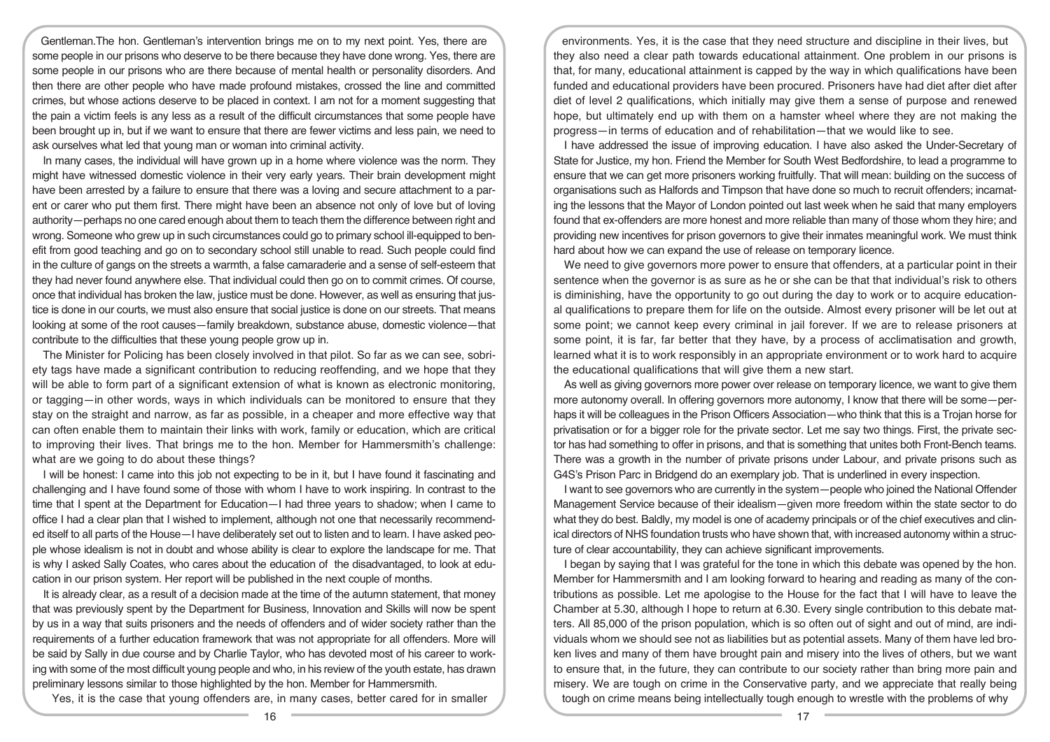Gentleman.The hon. Gentleman's intervention brings me on to my next point. Yes, there are some people in our prisons who deserve to be there because they have done wrong. Yes, there are some people in our prisons who are there because of mental health or personality disorders. And then there are other people who have made profound mistakes, crossed the line and committed crimes, but whose actions deserve to be placed in context. I am not for a moment suggesting that the pain a victim feels is any less as a result of the difficult circumstances that some people have been brought up in, but if we want to ensure that there are fewer victims and less pain, we need to ask ourselves what led that young man or woman into criminal activity.

In many cases, the individual will have grown up in a home where violence was the norm. They might have witnessed domestic violence in their very early years. Their brain development might have been arrested by a failure to ensure that there was a loving and secure attachment to a parent or carer who put them first. There might have been an absence not only of love but of loving authority—perhaps no one cared enough about them to teach them the difference between right and wrong. Someone who grew up in such circumstances could go to primary school ill-equipped to benefit from good teaching and go on to secondary school still unable to read. Such people could find in the culture of gangs on the streets a warmth, a false camaraderie and a sense of self-esteem that they had never found anywhere else. That individual could then go on to commit crimes. Of course, once that individual has broken the law, justice must be done. However, as well as ensuring that justice is done in our courts, we must also ensure that social justice is done on our streets. That means looking at some of the root causes—family breakdown, substance abuse, domestic violence—that contribute to the difficulties that these young people grow up in.

The Minister for Policing has been closely involved in that pilot. So far as we can see, sobriety tags have made a significant contribution to reducing reoffending, and we hope that they will be able to form part of a significant extension of what is known as electronic monitoring, or tagging—in other words, ways in which individuals can be monitored to ensure that they stay on the straight and narrow, as far as possible, in a cheaper and more effective way that can often enable them to maintain their links with work, family or education, which are critical to improving their lives. That brings me to the hon. Member for Hammersmith's challenge: what are we going to do about these things?

I will be honest: I came into this job not expecting to be in it, but I have found it fascinating and challenging and I have found some of those with whom I have to work inspiring. In contrast to the time that I spent at the Department for Education—I had three years to shadow; when I came to office I had a clear plan that I wished to implement, although not one that necessarily recommended itself to all parts of the House—I have deliberately set out to listen and to learn. I have asked people whose idealism is not in doubt and whose ability is clear to explore the landscape for me. That is why I asked Sally Coates, who cares about the education of the disadvantaged, to look at education in our prison system. Her report will be published in the next couple of months.

It is already clear, as a result of a decision made at the time of the autumn statement, that money that was previously spent by the Department for Business, Innovation and Skills will now be spent by us in a way that suits prisoners and the needs of offenders and of wider society rather than the requirements of a further education framework that was not appropriate for all offenders. More will be said by Sally in due course and by Charlie Taylor, who has devoted most of his career to working with some of the most difficult young people and who, in his review of the youth estate, has drawn preliminary lessons similar to those highlighted by the hon. Member for Hammersmith.

Yes, it is the case that young offenders are, in many cases, better cared for in smaller

environments. Yes, it is the case that they need structure and discipline in their lives, but they also need a clear path towards educational attainment. One problem in our prisons is that, for many, educational attainment is capped by the way in which qualifications have been funded and educational providers have been procured. Prisoners have had diet after diet after diet of level 2 qualifications, which initially may give them a sense of purpose and renewed hope, but ultimately end up with them on a hamster wheel where they are not making the progress—in terms of education and of rehabilitation—that we would like to see.

I have addressed the issue of improving education. I have also asked the Under-Secretary of State for Justice, my hon. Friend the Member for South West Bedfordshire, to lead a programme to ensure that we can get more prisoners working fruitfully. That will mean: building on the success of organisations such as Halfords and Timpson that have done so much to recruit offenders; incarnating the lessons that the Mayor of London pointed out last week when he said that many employers found that ex-offenders are more honest and more reliable than many of those whom they hire; and providing new incentives for prison governors to give their inmates meaningful work. We must think hard about how we can expand the use of release on temporary licence.

We need to give governors more power to ensure that offenders, at a particular point in their sentence when the governor is as sure as he or she can be that that individual's risk to others is diminishing, have the opportunity to go out during the day to work or to acquire educational qualifications to prepare them for life on the outside. Almost every prisoner will be let out at some point; we cannot keep every criminal in jail forever. If we are to release prisoners at some point, it is far, far better that they have, by a process of acclimatisation and growth, learned what it is to work responsibly in an appropriate environment or to work hard to acquire the educational qualifications that will give them a new start.

As well as giving governors more power over release on temporary licence, we want to give them more autonomy overall. In offering governors more autonomy, I know that there will be some—perhaps it will be colleagues in the Prison Officers Association—who think that this is a Trojan horse for privatisation or for a bigger role for the private sector. Let me say two things. First, the private sector has had something to offer in prisons, and that is something that unites both Front-Bench teams. There was a growth in the number of private prisons under Labour, and private prisons such as G4S's Prison Parc in Bridgend do an exemplary job. That is underlined in every inspection.

I want to see governors who are currently in the system—people who joined the National Offender Management Service because of their idealism—given more freedom within the state sector to do what they do best. Baldly, my model is one of academy principals or of the chief executives and clinical directors of NHS foundation trusts who have shown that, with increased autonomy within a structure of clear accountability, they can achieve significant improvements.

I began by saying that I was grateful for the tone in which this debate was opened by the hon. Member for Hammersmith and I am looking forward to hearing and reading as many of the contributions as possible. Let me apologise to the House for the fact that I will have to leave the Chamber at 5.30, although I hope to return at 6.30. Every single contribution to this debate matters. All 85,000 of the prison population, which is so often out of sight and out of mind, are individuals whom we should see not as liabilities but as potential assets. Many of them have led broken lives and many of them have brought pain and misery into the lives of others, but we want to ensure that, in the future, they can contribute to our society rather than bring more pain and misery. We are tough on crime in the Conservative party, and we appreciate that really being tough on crime means being intellectually tough enough to wrestle with the problems of why